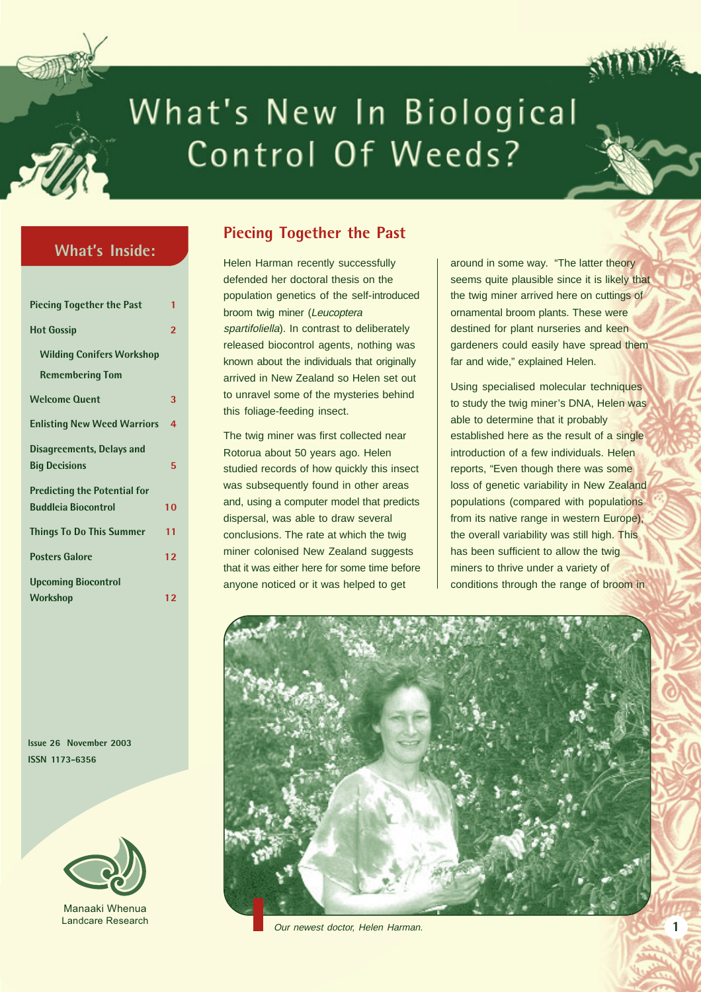

# What's New In Biological Control Of Weeds?

# **What's Inside:**

| <b>Piecing Together the Past</b>    | 1                       |
|-------------------------------------|-------------------------|
| <b>Hot Gossip</b>                   | $\overline{\mathbf{c}}$ |
| <b>Wilding Conifers Workshop</b>    |                         |
| <b>Remembering Tom</b>              |                         |
| <b>Welcome Quent</b>                | 3                       |
| <b>Enlisting New Weed Warriors</b>  | 4                       |
| Disagreements, Delays and           |                         |
| <b>Big Decisions</b>                | 5                       |
| <b>Predicting the Potential for</b> |                         |
| <b>Buddleia Biocontrol</b>          | 10                      |
| <b>Things To Do This Summer</b>     | 11                      |
| <b>Posters Galore</b>               | 12                      |
| <b>Upcoming Biocontrol</b>          |                         |
| <b>Workshop</b>                     | 12                      |

# **Piecing Together the Past**

Helen Harman recently successfully defended her doctoral thesis on the population genetics of the self-introduced broom twig miner (Leucoptera spartifoliella). In contrast to deliberately released biocontrol agents, nothing was known about the individuals that originally arrived in New Zealand so Helen set out to unravel some of the mysteries behind this foliage-feeding insect.

The twig miner was first collected near Rotorua about 50 years ago. Helen studied records of how quickly this insect was subsequently found in other areas and, using a computer model that predicts dispersal, was able to draw several conclusions. The rate at which the twig miner colonised New Zealand suggests that it was either here for some time before anyone noticed or it was helped to get

around in some way. "The latter theory seems quite plausible since it is likely that the twig miner arrived here on cuttings of ornamental broom plants. These were destined for plant nurseries and keen gardeners could easily have spread them far and wide," explained Helen.

Using specialised molecular techniques to study the twig miner's DNA, Helen was able to determine that it probably established here as the result of a single introduction of a few individuals. Helen reports, "Even though there was some loss of genetic variability in New Zealand populations (compared with populations from its native range in western Europe), the overall variability was still high. This has been sufficient to allow the twig miners to thrive under a variety of conditions through the range of broom in

**1**



Our newest doctor, Helen Harman.

**Issue 26 November 2003 ISSN 1173-6356**



Manaaki Whenua Landcare Research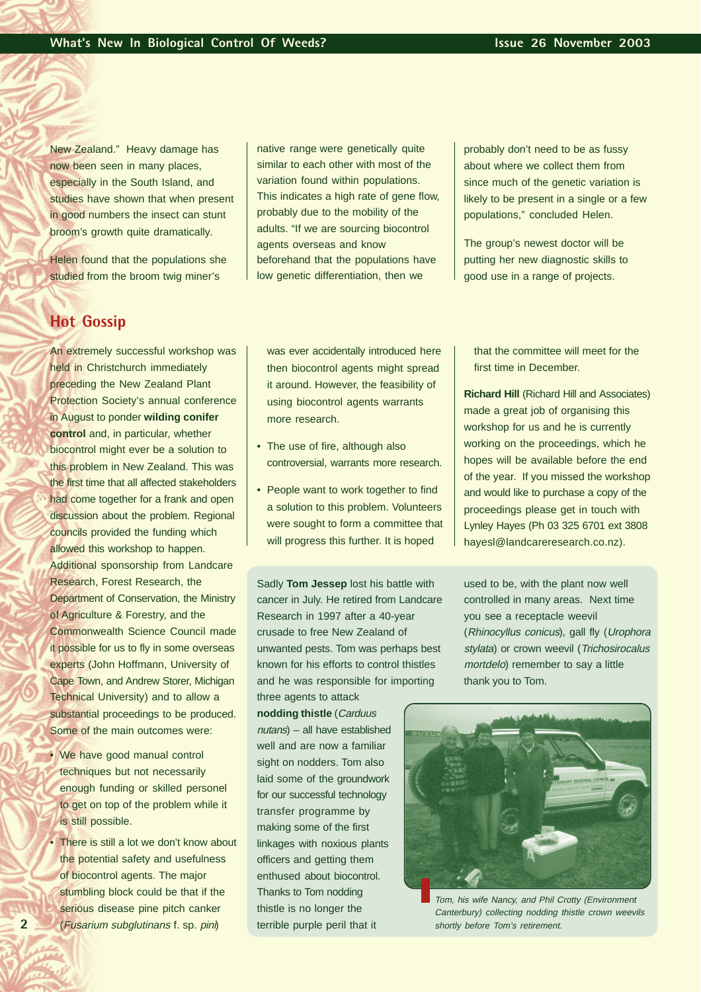New Zealand." Heavy damage has now been seen in many places, especially in the South Island, and studies have shown that when present in good numbers the insect can stunt broom's growth quite dramatically.

Helen found that the populations she studied from the broom twig miner's

**Hot Gossip**

An extremely successful workshop was held in Christchurch immediately preceding the New Zealand Plant Protection Society's annual conference in August to ponder **wilding conifer control** and, in particular, whether biocontrol might ever be a solution to this problem in New Zealand. This was the first time that all affected stakeholders had come together for a frank and open discussion about the problem. Regional councils provided the funding which allowed this workshop to happen. Additional sponsorship from Landcare Research, Forest Research, the Department of Conservation, the Ministry of Agriculture & Forestry, and the Commonwealth Science Council made it possible for us to fly in some overseas experts (John Hoffmann, University of Cape Town, and Andrew Storer, Michigan Technical University) and to allow a substantial proceedings to be produced. Some of the main outcomes were:

- We have good manual control techniques but not necessarily enough funding or skilled personel to get on top of the problem while it is still possible.
- There is still a lot we don't know about the potential safety and usefulness of biocontrol agents. The major stumbling block could be that if the serious disease pine pitch canker (Fusarium subglutinans f. sp. pini)

native range were genetically quite similar to each other with most of the variation found within populations. This indicates a high rate of gene flow, probably due to the mobility of the adults. "If we are sourcing biocontrol agents overseas and know beforehand that the populations have low genetic differentiation, then we

probably don't need to be as fussy about where we collect them from since much of the genetic variation is likely to be present in a single or a few populations," concluded Helen.

The group's newest doctor will be putting her new diagnostic skills to good use in a range of projects.

was ever accidentally introduced here then biocontrol agents might spread it around. However, the feasibility of using biocontrol agents warrants more research.

- The use of fire, although also controversial, warrants more research.
- People want to work together to find a solution to this problem. Volunteers were sought to form a committee that will progress this further. It is hoped

Sadly **Tom Jessep** lost his battle with cancer in July. He retired from Landcare Research in 1997 after a 40-year crusade to free New Zealand of unwanted pests. Tom was perhaps best known for his efforts to control thistles and he was responsible for importing three agents to attack

**nodding thistle** (Carduus nutans) – all have established well and are now a familiar sight on nodders. Tom also laid some of the groundwork for our successful technology transfer programme by making some of the first linkages with noxious plants officers and getting them enthused about biocontrol. Thanks to Tom nodding thistle is no longer the terrible purple peril that it

that the committee will meet for the first time in December.

**Richard Hill** (Richard Hill and Associates) made a great job of organising this workshop for us and he is currently working on the proceedings, which he hopes will be available before the end of the year. If you missed the workshop and would like to purchase a copy of the proceedings please get in touch with Lynley Hayes (Ph 03 325 6701 ext 3808 hayesl@landcareresearch.co.nz).

used to be, with the plant now well controlled in many areas. Next time you see a receptacle weevil (Rhinocyllus conicus), gall fly (Urophora stylata) or crown weevil (Trichosirocalus mortdelo) remember to say a little thank you to Tom.



Tom, his wife Nancy, and Phil Crotty (Environment Canterbury) collecting nodding thistle crown weevils shortly before Tom's retirement.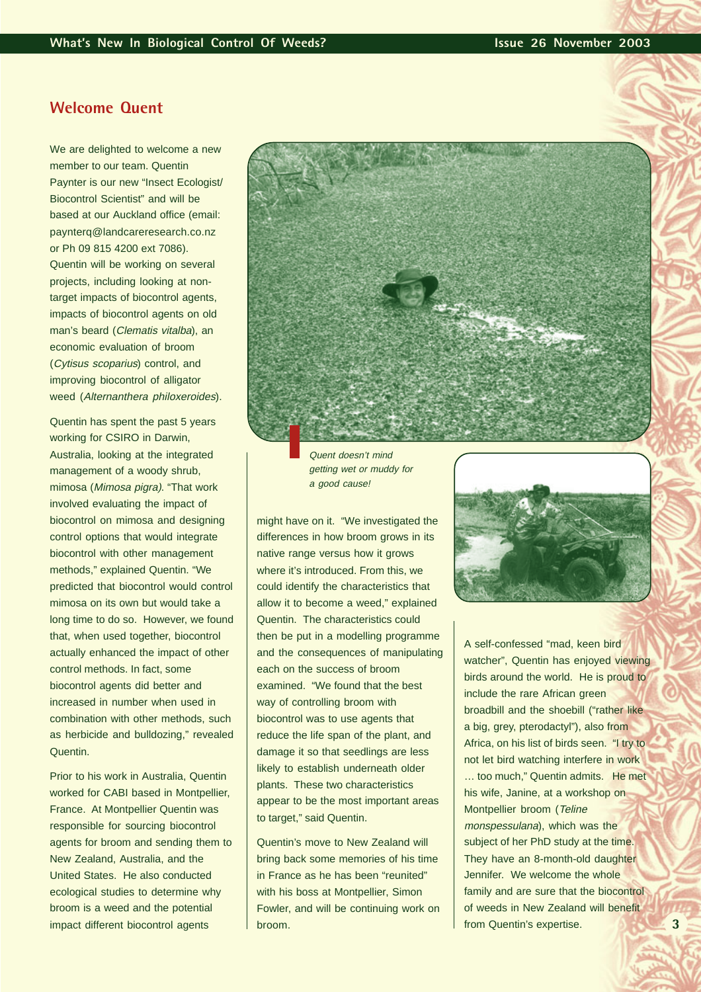## **Welcome Quent**

We are delighted to welcome a new member to our team. Quentin Paynter is our new "Insect Ecologist/ Biocontrol Scientist" and will be based at our Auckland office (email: paynterq@landcareresearch.co.nz or Ph 09 815 4200 ext 7086). Quentin will be working on several projects, including looking at nontarget impacts of biocontrol agents, impacts of biocontrol agents on old man's beard (Clematis vitalba), an economic evaluation of broom (Cytisus scoparius) control, and improving biocontrol of alligator weed (Alternanthera philoxeroides).

Quentin has spent the past 5 years working for CSIRO in Darwin, Australia, looking at the integrated management of a woody shrub, mimosa (Mimosa pigra). "That work involved evaluating the impact of biocontrol on mimosa and designing control options that would integrate biocontrol with other management methods," explained Quentin. "We predicted that biocontrol would control mimosa on its own but would take a long time to do so. However, we found that, when used together, biocontrol actually enhanced the impact of other control methods. In fact, some biocontrol agents did better and increased in number when used in combination with other methods, such as herbicide and bulldozing," revealed Quentin.

Prior to his work in Australia, Quentin worked for CABI based in Montpellier, France. At Montpellier Quentin was responsible for sourcing biocontrol agents for broom and sending them to New Zealand, Australia, and the United States. He also conducted ecological studies to determine why broom is a weed and the potential impact different biocontrol agents



Quent doesn't mind getting wet or muddy for a good cause!

might have on it. "We investigated the differences in how broom grows in its native range versus how it grows where it's introduced. From this, we could identify the characteristics that allow it to become a weed," explained Quentin. The characteristics could then be put in a modelling programme and the consequences of manipulating each on the success of broom examined. "We found that the best way of controlling broom with biocontrol was to use agents that reduce the life span of the plant, and damage it so that seedlings are less likely to establish underneath older plants. These two characteristics appear to be the most important areas to target," said Quentin.

Quentin's move to New Zealand will bring back some memories of his time in France as he has been "reunited" with his boss at Montpellier, Simon Fowler, and will be continuing work on broom.



A self-confessed "mad, keen bird watcher", Quentin has enjoyed viewing birds around the world. He is proud to include the rare African green broadbill and the shoebill ("rather like a big, grey, pterodactyl"), also from Africa, on his list of birds seen. "I try to not let bird watching interfere in work … too much," Quentin admits. He met his wife, Janine, at a workshop on Montpellier broom (Teline monspessulana), which was the subject of her PhD study at the time. They have an 8-month-old daughter Jennifer. We welcome the whole family and are sure that the biocontrol of weeds in New Zealand will benefit from Quentin's expertise.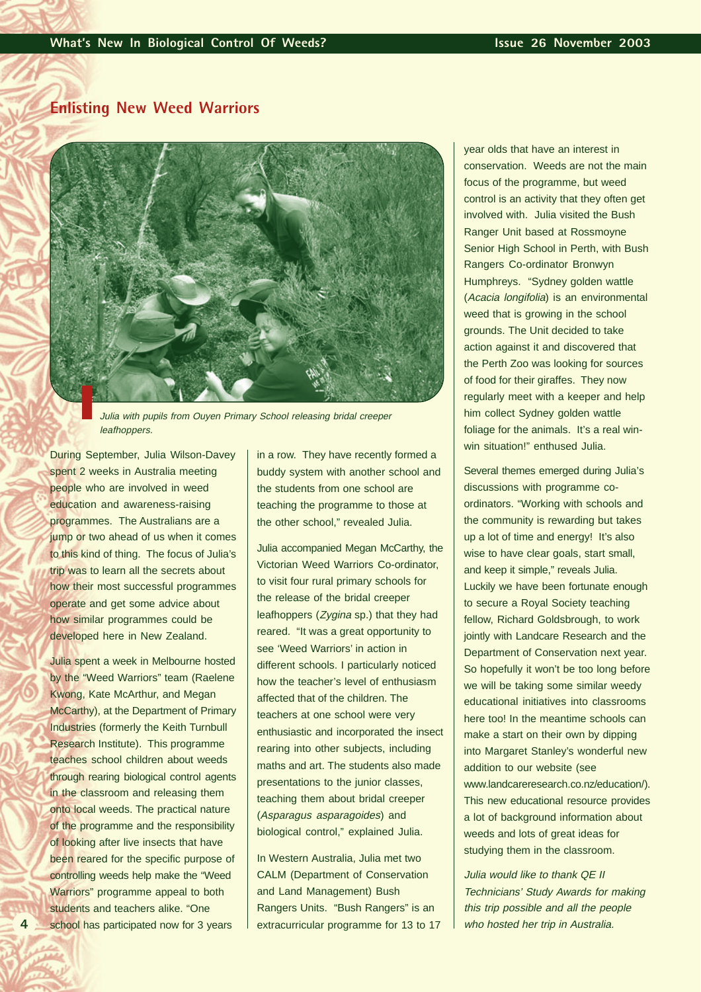# **Enlisting New Weed Warriors**



Julia with pupils from Ouyen Primary School releasing bridal creeper leafhoppers.

During September, Julia Wilson-Davey spent 2 weeks in Australia meeting people who are involved in weed education and awareness-raising programmes. The Australians are a jump or two ahead of us when it comes to this kind of thing. The focus of Julia's trip was to learn all the secrets about how their most successful programmes operate and get some advice about how similar programmes could be developed here in New Zealand.

Julia spent a week in Melbourne hosted by the "Weed Warriors" team (Raelene Kwong, Kate McArthur, and Megan McCarthy), at the Department of Primary Industries (formerly the Keith Turnbull Research Institute). This programme teaches school children about weeds through rearing biological control agents in the classroom and releasing them onto local weeds. The practical nature of the programme and the responsibility of looking after live insects that have been reared for the specific purpose of controlling weeds help make the "Weed Warriors" programme appeal to both students and teachers alike. "One school has participated now for 3 years

in a row. They have recently formed a buddy system with another school and the students from one school are teaching the programme to those at the other school," revealed Julia.

Julia accompanied Megan McCarthy, the Victorian Weed Warriors Co-ordinator, to visit four rural primary schools for the release of the bridal creeper leafhoppers (Zygina sp.) that they had reared. "It was a great opportunity to see 'Weed Warriors' in action in different schools. I particularly noticed how the teacher's level of enthusiasm affected that of the children. The teachers at one school were very enthusiastic and incorporated the insect rearing into other subjects, including maths and art. The students also made presentations to the junior classes, teaching them about bridal creeper (Asparagus asparagoides) and biological control," explained Julia.

In Western Australia, Julia met two CALM (Department of Conservation and Land Management) Bush Rangers Units. "Bush Rangers" is an extracurricular programme for 13 to 17 year olds that have an interest in conservation. Weeds are not the main focus of the programme, but weed control is an activity that they often get involved with. Julia visited the Bush Ranger Unit based at Rossmoyne Senior High School in Perth, with Bush Rangers Co-ordinator Bronwyn Humphreys. "Sydney golden wattle (Acacia longifolia) is an environmental weed that is growing in the school grounds. The Unit decided to take action against it and discovered that the Perth Zoo was looking for sources of food for their giraffes. They now regularly meet with a keeper and help him collect Sydney golden wattle foliage for the animals. It's a real winwin situation!" enthused Julia.

Several themes emerged during Julia's discussions with programme coordinators. "Working with schools and the community is rewarding but takes up a lot of time and energy! It's also wise to have clear goals, start small, and keep it simple," reveals Julia. Luckily we have been fortunate enough to secure a Royal Society teaching fellow, Richard Goldsbrough, to work jointly with Landcare Research and the Department of Conservation next year. So hopefully it won't be too long before we will be taking some similar weedy educational initiatives into classrooms here too! In the meantime schools can make a start on their own by dipping into Margaret Stanley's wonderful new addition to our website (see www.landcareresearch.co.nz/education/). This new educational resource provides a lot of background information about weeds and lots of great ideas for studying them in the classroom.

Julia would like to thank QE II Technicians' Study Awards for making this trip possible and all the people who hosted her trip in Australia.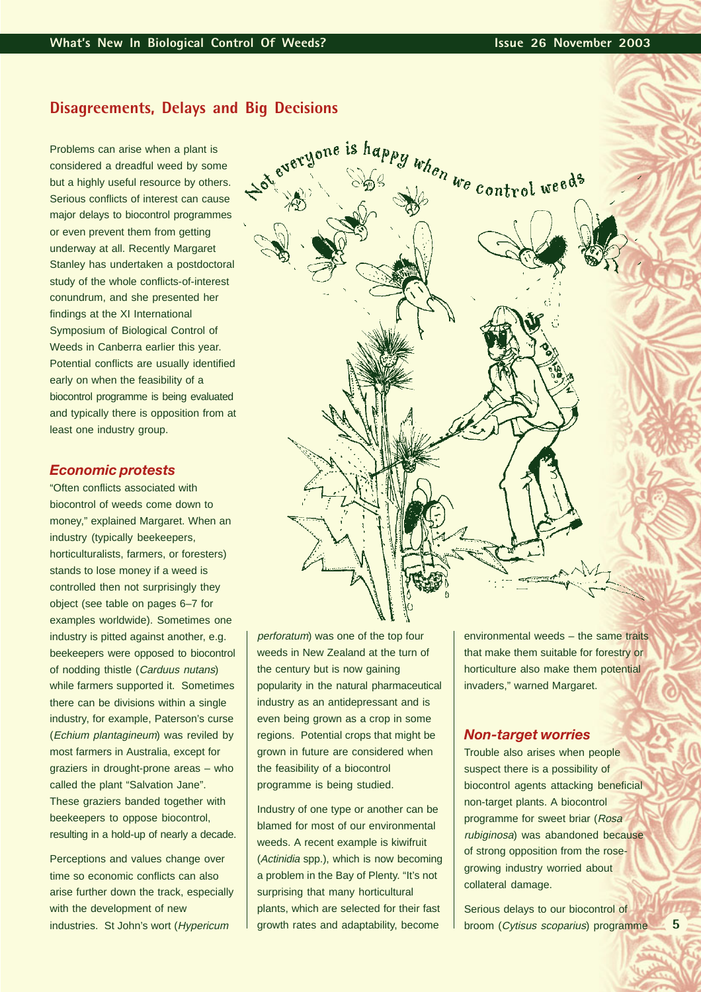# **Disagreements, Delays and Big Decisions**

Problems can arise when a plant is considered a dreadful weed by some but a highly useful resource by others. Serious conflicts of interest can cause major delays to biocontrol programmes or even prevent them from getting underway at all. Recently Margaret Stanley has undertaken a postdoctoral study of the whole conflicts-of-interest conundrum, and she presented her findings at the XI International Symposium of Biological Control of Weeds in Canberra earlier this year. Potential conflicts are usually identified early on when the feasibility of a biocontrol programme is being evaluated and typically there is opposition from at least one industry group.

#### *Economic protests*

"Often conflicts associated with biocontrol of weeds come down to money," explained Margaret. When an industry (typically beekeepers, horticulturalists, farmers, or foresters) stands to lose money if a weed is controlled then not surprisingly they object (see table on pages 6–7 for examples worldwide). Sometimes one industry is pitted against another, e.g. beekeepers were opposed to biocontrol of nodding thistle (Carduus nutans) while farmers supported it. Sometimes there can be divisions within a single industry, for example, Paterson's curse (Echium plantagineum) was reviled by most farmers in Australia, except for graziers in drought-prone areas – who called the plant "Salvation Jane". These graziers banded together with beekeepers to oppose biocontrol, resulting in a hold-up of nearly a decade.

Perceptions and values change over time so economic conflicts can also arise further down the track, especially with the development of new industries. St John's wort (Hypericum



perforatum) was one of the top four weeds in New Zealand at the turn of the century but is now gaining popularity in the natural pharmaceutical industry as an antidepressant and is even being grown as a crop in some regions. Potential crops that might be grown in future are considered when the feasibility of a biocontrol programme is being studied.

Industry of one type or another can be blamed for most of our environmental weeds. A recent example is kiwifruit (Actinidia spp.), which is now becoming a problem in the Bay of Plenty. "It's not surprising that many horticultural plants, which are selected for their fast growth rates and adaptability, become

environmental weeds – the same traits that make them suitable for forestry or horticulture also make them potential invaders," warned Margaret.

#### *Non-target worries*

Trouble also arises when people suspect there is a possibility of biocontrol agents attacking beneficial non-target plants. A biocontrol programme for sweet briar (Rosa rubiginosa) was abandoned because of strong opposition from the rosegrowing industry worried about collateral damage.

Serious delays to our biocontrol of broom (Cytisus scoparius) programme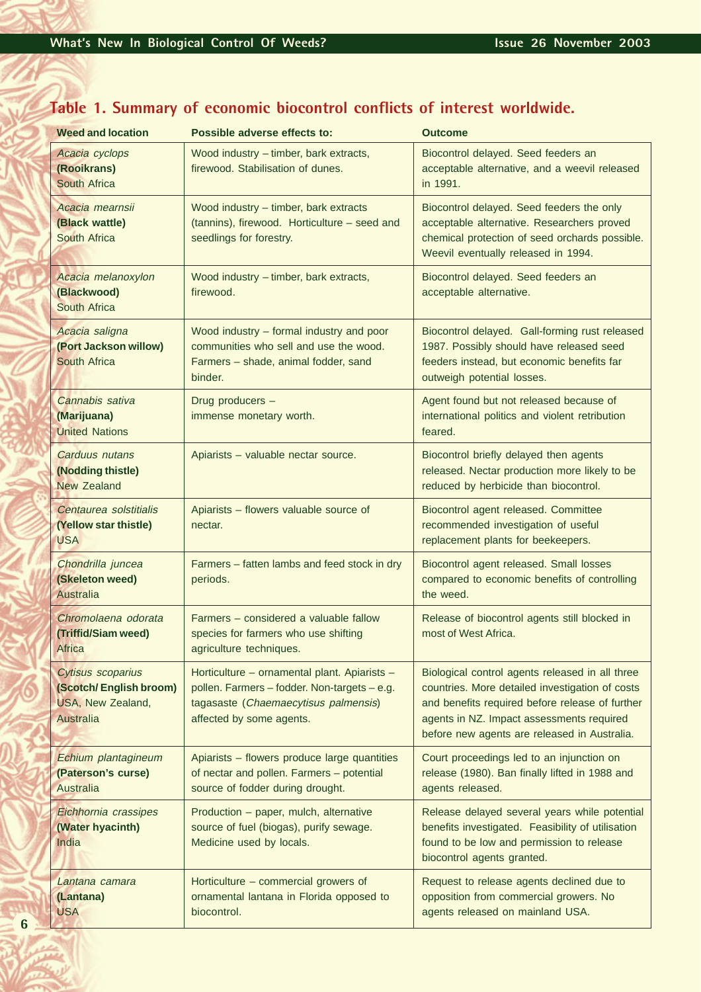# **Table 1. Summary of economic biocontrol conflicts of interest worldwide.**

| <b>Weed and location</b>                                                             | Possible adverse effects to:                                                                                                                                     | <b>Outcome</b>                                                                                                                                                                                                                                     |
|--------------------------------------------------------------------------------------|------------------------------------------------------------------------------------------------------------------------------------------------------------------|----------------------------------------------------------------------------------------------------------------------------------------------------------------------------------------------------------------------------------------------------|
| Acacia cyclops<br>(Rooikrans)<br><b>South Africa</b>                                 | Wood industry - timber, bark extracts,<br>firewood. Stabilisation of dunes.                                                                                      | Biocontrol delayed. Seed feeders an<br>acceptable alternative, and a weevil released<br>in 1991.                                                                                                                                                   |
| Acacia mearnsii<br>(Black wattle)<br><b>South Africa</b>                             | Wood industry - timber, bark extracts<br>(tannins), firewood. Horticulture - seed and<br>seedlings for forestry.                                                 | Biocontrol delayed. Seed feeders the only<br>acceptable alternative. Researchers proved<br>chemical protection of seed orchards possible.<br>Weevil eventually released in 1994.                                                                   |
| Acacia melanoxylon<br>(Blackwood)<br><b>South Africa</b>                             | Wood industry - timber, bark extracts,<br>firewood.                                                                                                              | Biocontrol delayed. Seed feeders an<br>acceptable alternative.                                                                                                                                                                                     |
| Acacia saligna<br>(Port Jackson willow)<br><b>South Africa</b>                       | Wood industry - formal industry and poor<br>communities who sell and use the wood.<br>Farmers - shade, animal fodder, sand<br>binder.                            | Biocontrol delayed. Gall-forming rust released<br>1987. Possibly should have released seed<br>feeders instead, but economic benefits far<br>outweigh potential losses.                                                                             |
| Cannabis sativa<br>(Marijuana)<br><b>United Nations</b>                              | Drug producers -<br>immense monetary worth.                                                                                                                      | Agent found but not released because of<br>international politics and violent retribution<br>feared.                                                                                                                                               |
| Carduus nutans<br>(Nodding thistle)<br><b>New Zealand</b>                            | Apiarists - valuable nectar source.                                                                                                                              | Biocontrol briefly delayed then agents<br>released. Nectar production more likely to be<br>reduced by herbicide than biocontrol.                                                                                                                   |
| Centaurea solstitialis<br>(Yellow star thistle)<br><b>USA</b>                        | Apiarists - flowers valuable source of<br>nectar.                                                                                                                | Biocontrol agent released. Committee<br>recommended investigation of useful<br>replacement plants for beekeepers.                                                                                                                                  |
| Chondrilla juncea<br>(Skeleton weed)<br><b>Australia</b>                             | Farmers - fatten lambs and feed stock in dry<br>periods.                                                                                                         | Biocontrol agent released. Small losses<br>compared to economic benefits of controlling<br>the weed.                                                                                                                                               |
| Chromolaena odorata<br>(Triffid/Siam weed)<br>Africa                                 | Farmers - considered a valuable fallow<br>species for farmers who use shifting<br>agriculture techniques.                                                        | Release of biocontrol agents still blocked in<br>most of West Africa.                                                                                                                                                                              |
| Cytisus scoparius<br>(Scotch/English broom)<br>USA, New Zealand,<br><b>Australia</b> | Horticulture - ornamental plant. Apiarists -<br>pollen. Farmers - fodder. Non-targets - e.g.<br>tagasaste (Chaemaecytisus palmensis)<br>affected by some agents. | Biological control agents released in all three<br>countries. More detailed investigation of costs<br>and benefits required before release of further<br>agents in NZ. Impact assessments required<br>before new agents are released in Australia. |
| Echium plantagineum<br>(Paterson's curse)<br><b>Australia</b>                        | Apiarists - flowers produce large quantities<br>of nectar and pollen. Farmers - potential<br>source of fodder during drought.                                    | Court proceedings led to an injunction on<br>release (1980). Ban finally lifted in 1988 and<br>agents released.                                                                                                                                    |
| Eichhornia crassipes<br>(Water hyacinth)<br>India                                    | Production – paper, mulch, alternative<br>source of fuel (biogas), purify sewage.<br>Medicine used by locals.                                                    | Release delayed several years while potential<br>benefits investigated. Feasibility of utilisation<br>found to be low and permission to release<br>biocontrol agents granted.                                                                      |
| Lantana camara<br>(Lantana)<br><b>USA</b>                                            | Horticulture – commercial growers of<br>ornamental lantana in Florida opposed to<br>biocontrol.                                                                  | Request to release agents declined due to<br>opposition from commercial growers. No<br>agents released on mainland USA.                                                                                                                            |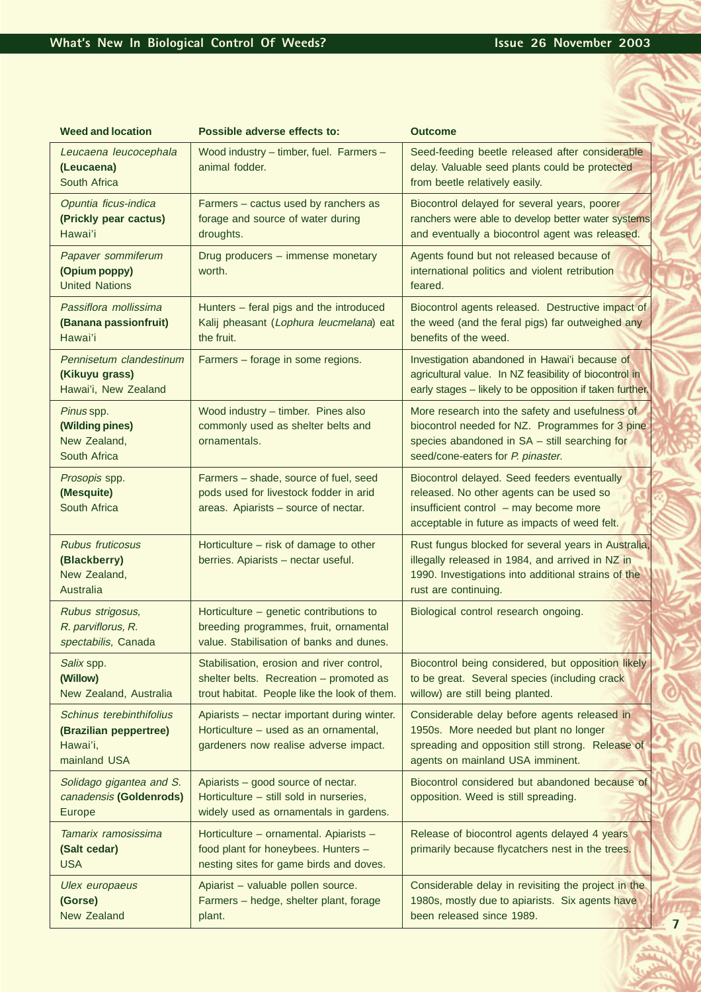| <b>Weed and location</b>                                                       | Possible adverse effects to:                                                                                                         | <b>Outcome</b>                                                                                                                                                                           |
|--------------------------------------------------------------------------------|--------------------------------------------------------------------------------------------------------------------------------------|------------------------------------------------------------------------------------------------------------------------------------------------------------------------------------------|
| Leucaena leucocephala<br>(Leucaena)<br>South Africa                            | Wood industry - timber, fuel. Farmers -<br>animal fodder.                                                                            | Seed-feeding beetle released after considerable<br>delay. Valuable seed plants could be protected<br>from beetle relatively easily.                                                      |
| Opuntia ficus-indica<br>(Prickly pear cactus)<br>Hawai'i                       | Farmers - cactus used by ranchers as<br>forage and source of water during<br>droughts.                                               | Biocontrol delayed for several years, poorer<br>ranchers were able to develop better water systems<br>and eventually a biocontrol agent was released.                                    |
| Papaver sommiferum<br>(Opium poppy)<br><b>United Nations</b>                   | Drug producers - immense monetary<br>worth.                                                                                          | Agents found but not released because of<br>international politics and violent retribution<br>feared.                                                                                    |
| Passiflora mollissima<br>(Banana passionfruit)<br>Hawai'i                      | Hunters - feral pigs and the introduced<br>Kalij pheasant (Lophura leucmelana) eat<br>the fruit.                                     | Biocontrol agents released. Destructive impact of<br>the weed (and the feral pigs) far outweighed any<br>benefits of the weed.                                                           |
| Pennisetum clandestinum<br>(Kikuyu grass)<br>Hawai'i, New Zealand              | Farmers - forage in some regions.                                                                                                    | Investigation abandoned in Hawai'i because of<br>agricultural value. In NZ feasibility of biocontrol in<br>early stages - likely to be opposition if taken further.                      |
| Pinus spp.<br>(Wilding pines)<br>New Zealand,<br>South Africa                  | Wood industry - timber. Pines also<br>commonly used as shelter belts and<br>ornamentals.                                             | More research into the safety and usefulness of<br>biocontrol needed for NZ. Programmes for 3 pine<br>species abandoned in SA - still searching for<br>seed/cone-eaters for P. pinaster. |
| Prosopis spp.<br>(Mesquite)<br>South Africa                                    | Farmers - shade, source of fuel, seed<br>pods used for livestock fodder in arid<br>areas. Apiarists - source of nectar.              | Biocontrol delayed. Seed feeders eventually<br>released. No other agents can be used so<br>insufficient control - may become more<br>acceptable in future as impacts of weed felt.       |
| <b>Rubus fruticosus</b><br>(Blackberry)<br>New Zealand,<br>Australia           | Horticulture – risk of damage to other<br>berries. Apiarists - nectar useful.                                                        | Rust fungus blocked for several years in Australia,<br>illegally released in 1984, and arrived in NZ in<br>1990. Investigations into additional strains of the<br>rust are continuing.   |
| Rubus strigosus,<br>R. parviflorus, R.<br>spectabilis, Canada                  | Horticulture - genetic contributions to<br>breeding programmes, fruit, ornamental<br>value. Stabilisation of banks and dunes.        | Biological control research ongoing.                                                                                                                                                     |
| Salix spp.<br>(Willow)<br>New Zealand, Australia                               | Stabilisation, erosion and river control,<br>shelter belts. Recreation - promoted as<br>trout habitat. People like the look of them. | Biocontrol being considered, but opposition likely<br>to be great. Several species (including crack<br>willow) are still being planted.                                                  |
| Schinus terebinthifolius<br>(Brazilian peppertree)<br>Hawai'i,<br>mainland USA | Apiarists - nectar important during winter.<br>Horticulture – used as an ornamental,<br>gardeners now realise adverse impact.        | Considerable delay before agents released in<br>1950s. More needed but plant no longer<br>spreading and opposition still strong. Release of<br>agents on mainland USA imminent.          |
| Solidago gigantea and S.<br>canadensis (Goldenrods)<br><b>Europe</b>           | Apiarists - good source of nectar.<br>Horticulture - still sold in nurseries,<br>widely used as ornamentals in gardens.              | Biocontrol considered but abandoned because of<br>opposition. Weed is still spreading.                                                                                                   |
| Tamarix ramosissima<br>(Salt cedar)<br><b>USA</b>                              | Horticulture - ornamental. Apiarists -<br>food plant for honeybees. Hunters -<br>nesting sites for game birds and doves.             | Release of biocontrol agents delayed 4 years<br>primarily because flycatchers nest in the trees.                                                                                         |
| Ulex europaeus<br>(Gorse)<br>New Zealand                                       | Apiarist - valuable pollen source.<br>Farmers - hedge, shelter plant, forage<br>plant.                                               | Considerable delay in revisiting the project in the<br>1980s, mostly due to apiarists. Six agents have<br>been released since 1989.                                                      |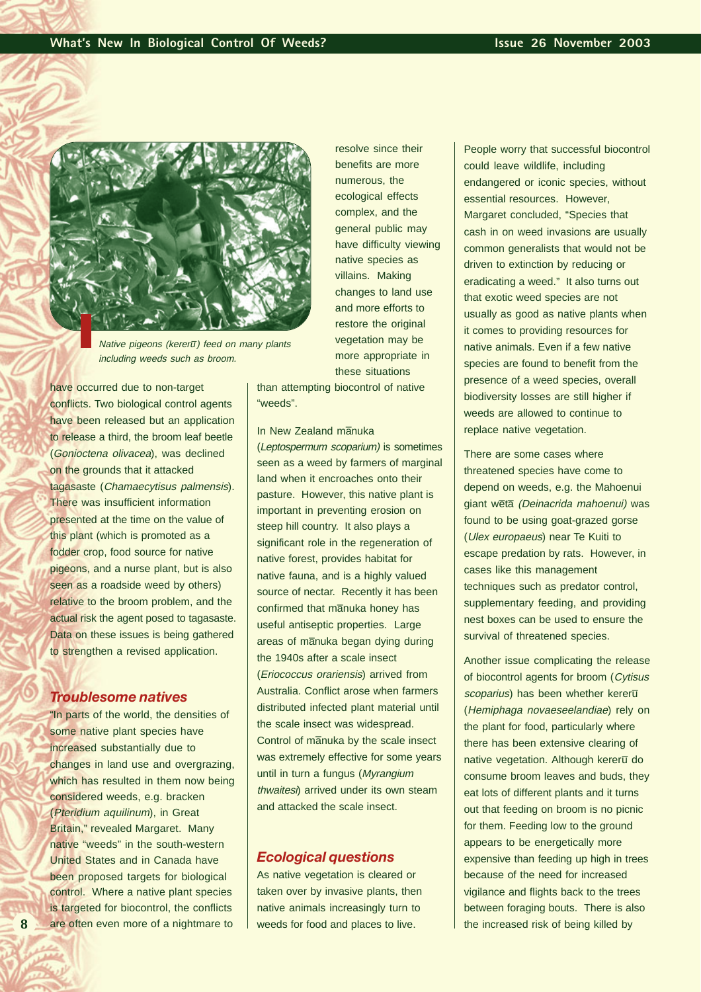

Native pigeons (kerer $\overline{u}$ ) feed on many plants including weeds such as broom.

have occurred due to non-target conflicts. Two biological control agents have been released but an application to release a third, the broom leaf beetle (Gonioctena olivacea), was declined on the grounds that it attacked tagasaste (Chamaecytisus palmensis). There was insufficient information presented at the time on the value of this plant (which is promoted as a fodder crop, food source for native pigeons, and a nurse plant, but is also seen as a roadside weed by others) relative to the broom problem, and the actual risk the agent posed to tagasaste. Data on these issues is being gathered to strengthen a revised application.

#### *Troublesome natives*

"In parts of the world, the densities of some native plant species have increased substantially due to changes in land use and overgrazing, which has resulted in them now being considered weeds, e.g. bracken (Pteridium aquilinum), in Great Britain," revealed Margaret. Many native "weeds" in the south-western United States and in Canada have been proposed targets for biological control. Where a native plant species is targeted for biocontrol, the conflicts are often even more of a nightmare to

resolve since their benefits are more numerous, the ecological effects complex, and the general public may have difficulty viewing native species as villains. Making changes to land use and more efforts to restore the original vegetation may be more appropriate in these situations

than attempting biocontrol of native "weeds".

In New Zealand manuka

(Leptospermum scoparium) is sometimes seen as a weed by farmers of marginal land when it encroaches onto their pasture. However, this native plant is important in preventing erosion on steep hill country. It also plays a significant role in the regeneration of native forest, provides habitat for native fauna, and is a highly valued source of nectar. Recently it has been confirmed that manuka honey has useful antiseptic properties. Large areas of manuka began dying during the 1940s after a scale insect (Eriococcus orariensis) arrived from Australia. Conflict arose when farmers distributed infected plant material until the scale insect was widespread. Control of manuka by the scale insect was extremely effective for some years until in turn a fungus (Myrangium thwaitesi) arrived under its own steam and attacked the scale insect.

#### *Ecological questions*

As native vegetation is cleared or taken over by invasive plants, then native animals increasingly turn to weeds for food and places to live.

People worry that successful biocontrol could leave wildlife, including endangered or iconic species, without essential resources. However, Margaret concluded, "Species that cash in on weed invasions are usually common generalists that would not be driven to extinction by reducing or eradicating a weed." It also turns out that exotic weed species are not usually as good as native plants when it comes to providing resources for native animals. Even if a few native species are found to benefit from the presence of a weed species, overall biodiversity losses are still higher if weeds are allowed to continue to replace native vegetation.

There are some cases where threatened species have come to depend on weeds, e.g. the Mahoenui giant weta (Deinacrida mahoenui) was found to be using goat-grazed gorse (Ulex europaeus) near Te Kuiti to escape predation by rats. However, in cases like this management techniques such as predator control, supplementary feeding, and providing nest boxes can be used to ensure the survival of threatened species.

Another issue complicating the release of biocontrol agents for broom (Cytisus scoparius) has been whether kereru (Hemiphaga novaeseelandiae) rely on the plant for food, particularly where there has been extensive clearing of native vegetation. Although kereru do consume broom leaves and buds, they eat lots of different plants and it turns out that feeding on broom is no picnic for them. Feeding low to the ground appears to be energetically more expensive than feeding up high in trees because of the need for increased vigilance and flights back to the trees between foraging bouts. There is also the increased risk of being killed by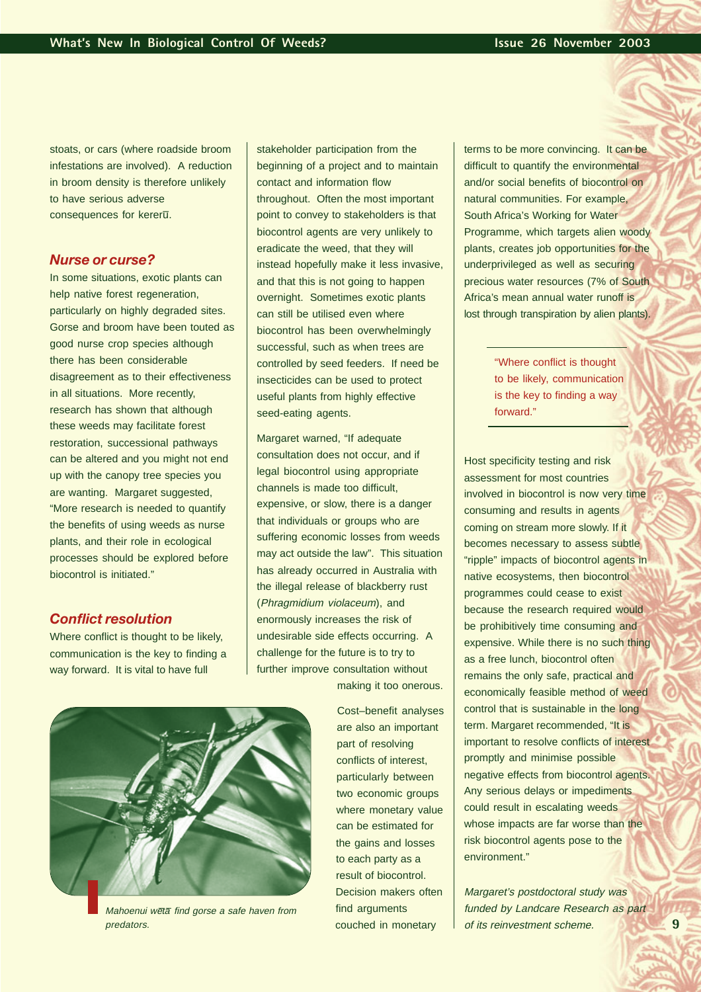stoats, or cars (where roadside broom infestations are involved). A reduction in broom density is therefore unlikely to have serious adverse consequences for kereru.

#### *Nurse or curse?*

In some situations, exotic plants can help native forest regeneration. particularly on highly degraded sites. Gorse and broom have been touted as good nurse crop species although there has been considerable disagreement as to their effectiveness in all situations. More recently, research has shown that although these weeds may facilitate forest restoration, successional pathways can be altered and you might not end up with the canopy tree species you are wanting. Margaret suggested, "More research is needed to quantify the benefits of using weeds as nurse plants, and their role in ecological processes should be explored before biocontrol is initiated."

#### *Conflict resolution*

Where conflict is thought to be likely, communication is the key to finding a way forward. It is vital to have full

stakeholder participation from the beginning of a project and to maintain contact and information flow throughout.Often the most important point to convey to stakeholders is that biocontrol agents are very unlikely to eradicate the weed, that they will instead hopefully make it less invasive, and that this is not going to happen overnight. Sometimes exotic plants can still be utilised even where biocontrol has been overwhelmingly successful, such as when trees are controlled by seed feeders. If need be insecticides can be used to protect useful plants from highly effective seed-eating agents.

Margaret warned, "If adequate consultation does not occur, and if legal biocontrol using appropriate channels is made too difficult, expensive, or slow, there is a danger that individuals or groups who are suffering economic losses from weeds may act outside the law". This situation has already occurred in Australia with the illegal release of blackberry rust (Phragmidium violaceum), and enormously increases the risk of undesirable side effects occurring. A challenge for the future is to try to further improve consultation without making it too onerous.

> Cost–benefit analyses are also an important part of resolving conflicts of interest, particularly between two economic groups where monetary value can be estimated for the gains and losses to each party as a result of biocontrol. Decision makers often find arguments couched in monetary

terms to be more convincing. It can be difficult to quantify the environmental and/or social benefits of biocontrol on natural communities. For example, South Africa's Working for Water Programme, which targets alien woody plants, creates job opportunities for the underprivileged as well as securing precious water resources (7% of South Africa's mean annual water runoff is lost through transpiration by alien plants).

> "Where conflict is thought to be likely, communication is the key to finding a way forward."

Host specificity testing and risk assessment for most countries involved in biocontrol is now very time consuming and results in agents coming on stream more slowly. If it becomes necessary to assess subtle "ripple" impacts of biocontrol agents in native ecosystems, then biocontrol programmes could cease to exist because the research required would be prohibitively time consuming and expensive. While there is no such thing as a free lunch, biocontrol often remains the only safe, practical and economically feasible method of weed control that is sustainable in the long term. Margaret recommended, "It is important to resolve conflicts of interest promptly and minimise possible negative effects from biocontrol agents. Any serious delays or impediments could result in escalating weeds whose impacts are far worse than the risk biocontrol agents pose to the environment."

Margaret's postdoctoral study was funded by Landcare Research as part of its reinvestment scheme.



Mahoenui wētā find gorse a safe haven from predators.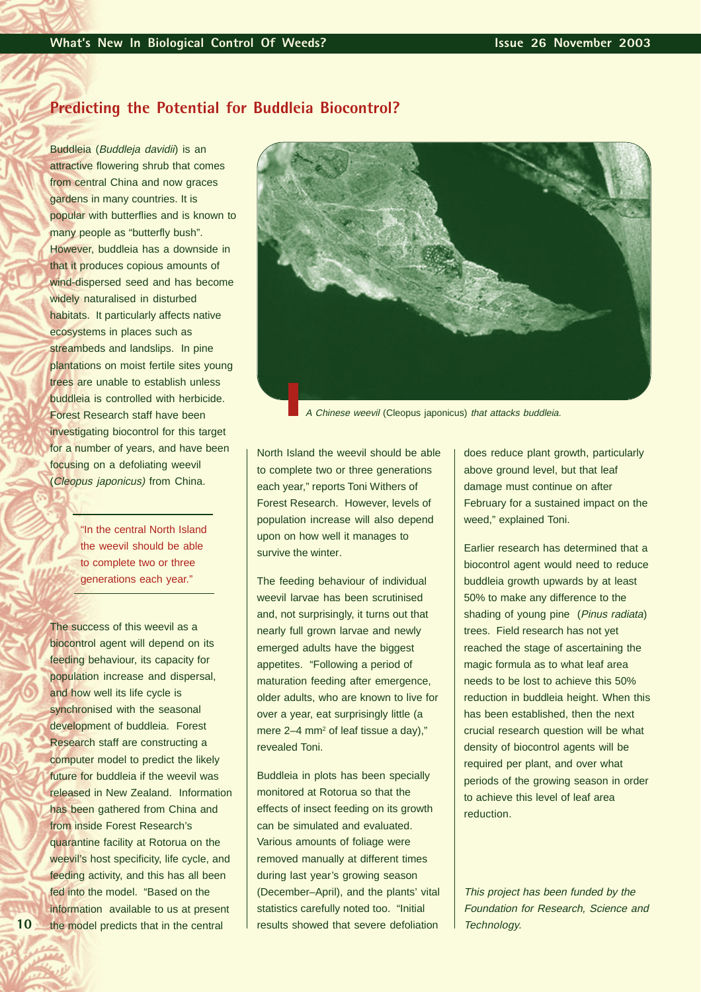## **Predicting the Potential for Buddleia Biocontrol?**

Buddleia (Buddleja davidii) is an attractive flowering shrub that comes from central China and now graces gardens in many countries. It is popular with butterflies and is known to many people as "butterfly bush". However, buddleia has a downside in that it produces copious amounts of wind-dispersed seed and has become widely naturalised in disturbed habitats. It particularly affects native ecosystems in places such as streambeds and landslips. In pine plantations on moist fertile sites young trees are unable to establish unless buddleia is controlled with herbicide. Forest Research staff have been investigating biocontrol for this target for a number of years, and have been focusing on a defoliating weevil (Cleopus japonicus) from China.

> "In the central North Island the weevil should be able to complete two or three generations each year."

The success of this weevil as a biocontrol agent will depend on its feeding behaviour, its capacity for population increase and dispersal, and how well its life cycle is synchronised with the seasonal development of buddleia. Forest Research staff are constructing a computer model to predict the likely future for buddleia if the weevil was released in New Zealand. Information has been gathered from China and from inside Forest Research's quarantine facility at Rotorua on the weevil's host specificity, life cycle, and feeding activity, and this has all been fed into the model. "Based on the information available to us at present the model predicts that in the central



A Chinese weevil (Cleopus japonicus) that attacks buddleia.

North Island the weevil should be able to complete two or three generations each year," reports Toni Withers of Forest Research. However, levels of population increase will also depend upon on how well it manages to survive the winter.

The feeding behaviour of individual weevil larvae has been scrutinised and, not surprisingly, it turns out that nearly full grown larvae and newly emerged adults have the biggest appetites. "Following a period of maturation feeding after emergence, older adults, who are known to live for over a year, eat surprisingly little (a mere  $2-4$  mm<sup>2</sup> of leaf tissue a day)," revealed Toni.

Buddleia in plots has been specially monitored at Rotorua so that the effects of insect feeding on its growth can be simulated and evaluated. Various amounts of foliage were removed manually at different times during last year's growing season (December–April), and the plants' vital statistics carefully noted too. "Initial results showed that severe defoliation

does reduce plant growth, particularly above ground level, but that leaf damage must continue on after February for a sustained impact on the weed," explained Toni.

Earlier research has determined that a biocontrol agent would need to reduce buddleia growth upwards by at least 50% to make any difference to the shading of young pine (Pinus radiata) trees. Field research has not yet reached the stage of ascertaining the magic formula as to what leaf area needs to be lost to achieve this 50% reduction in buddleia height. When this has been established, then the next crucial research question will be what density of biocontrol agents will be required per plant, and over what periods of the growing season in order to achieve this level of leaf area reduction.

This project has been funded by the Foundation for Research, Science and Technology.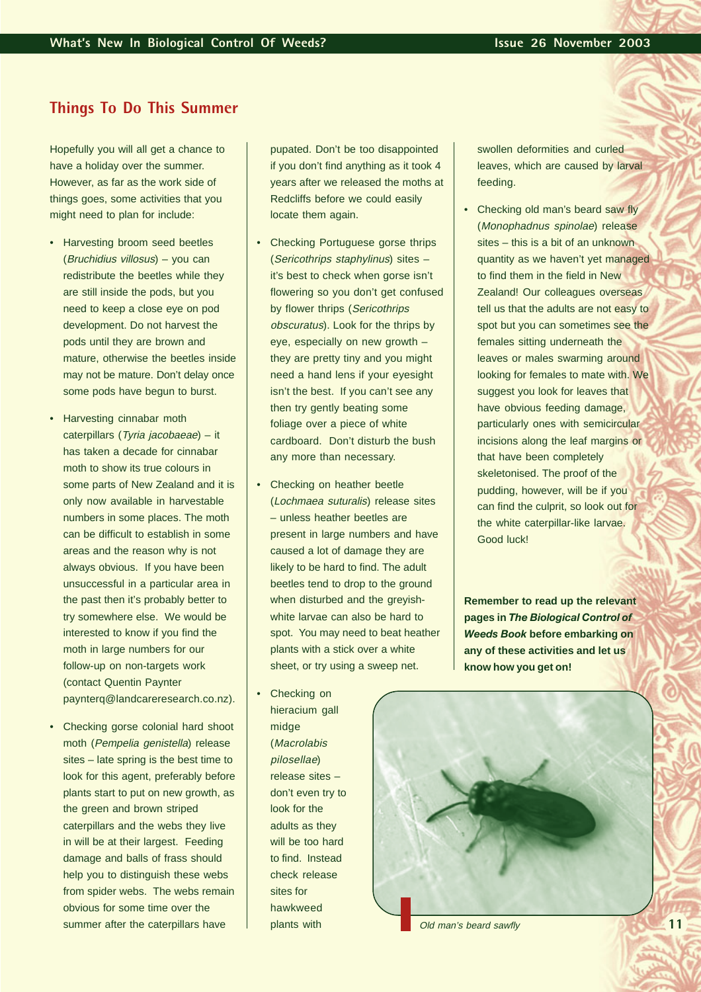# **Things To Do This Summer**

Hopefully you will all get a chance to have a holiday over the summer. However, as far as the work side of things goes, some activities that you might need to plan for include:

- Harvesting broom seed beetles (Bruchidius villosus) – you can redistribute the beetles while they are still inside the pods, but you need to keep a close eye on pod development. Do not harvest the pods until they are brown and mature, otherwise the beetles inside may not be mature. Don't delay once some pods have begun to burst.
- Harvesting cinnabar moth caterpillars (Tyria jacobaeae) – it has taken a decade for cinnabar moth to show its true colours in some parts of New Zealand and it is only now available in harvestable numbers in some places. The moth can be difficult to establish in some areas and the reason why is not always obvious. If you have been unsuccessful in a particular area in the past then it's probably better to try somewhere else. We would be interested to know if you find the moth in large numbers for our follow-up on non-targets work (contact Quentin Paynter paynterq@landcareresearch.co.nz).
- Checking gorse colonial hard shoot moth (Pempelia genistella) release sites – late spring is the best time to look for this agent, preferably before plants start to put on new growth, as the green and brown striped caterpillars and the webs they live in will be at their largest. Feeding damage and balls of frass should help you to distinguish these webs from spider webs. The webs remain obvious for some time over the summer after the caterpillars have

pupated. Don't be too disappointed if you don't find anything as it took 4 years after we released the moths at Redcliffs before we could easily locate them again.

- Checking Portuguese gorse thrips (Sericothrips staphylinus) sites – it's best to check when gorse isn't flowering so you don't get confused by flower thrips (Sericothrips obscuratus). Look for the thrips by eye, especially on new growth – they are pretty tiny and you might need a hand lens if your eyesight isn't the best. If you can't see any then try gently beating some foliage over a piece of white cardboard. Don't disturb the bush any more than necessary.
- Checking on heather beetle (Lochmaea suturalis) release sites – unless heather beetles are present in large numbers and have caused a lot of damage they are likely to be hard to find. The adult beetles tend to drop to the ground when disturbed and the greyishwhite larvae can also be hard to spot. You may need to beat heather plants with a stick over a white sheet, or try using a sweep net.
- Checking on hieracium gall midge (Macrolabis pilosellae) release sites – don't even try to look for the adults as they will be too hard to find. Instead check release sites for hawkweed plants with

swollen deformities and curled leaves, which are caused by larval feeding.

• Checking old man's beard saw fly (Monophadnus spinolae) release sites – this is a bit of an unknown quantity as we haven't yet managed to find them in the field in New Zealand! Our colleagues overseas tell us that the adults are not easy to spot but you can sometimes see the females sitting underneath the leaves or males swarming around looking for females to mate with. We suggest you look for leaves that have obvious feeding damage, particularly ones with semicircular incisions along the leaf margins or that have been completely skeletonised. The proof of the pudding, however, will be if you can find the culprit, so look out for the white caterpillar-like larvae. Good luck!

**Remember to read up the relevant pages in** *The Biological Control of Weeds Book* **before embarking on any of these activities and let us know how you get on!**



Old man's beard sawfly